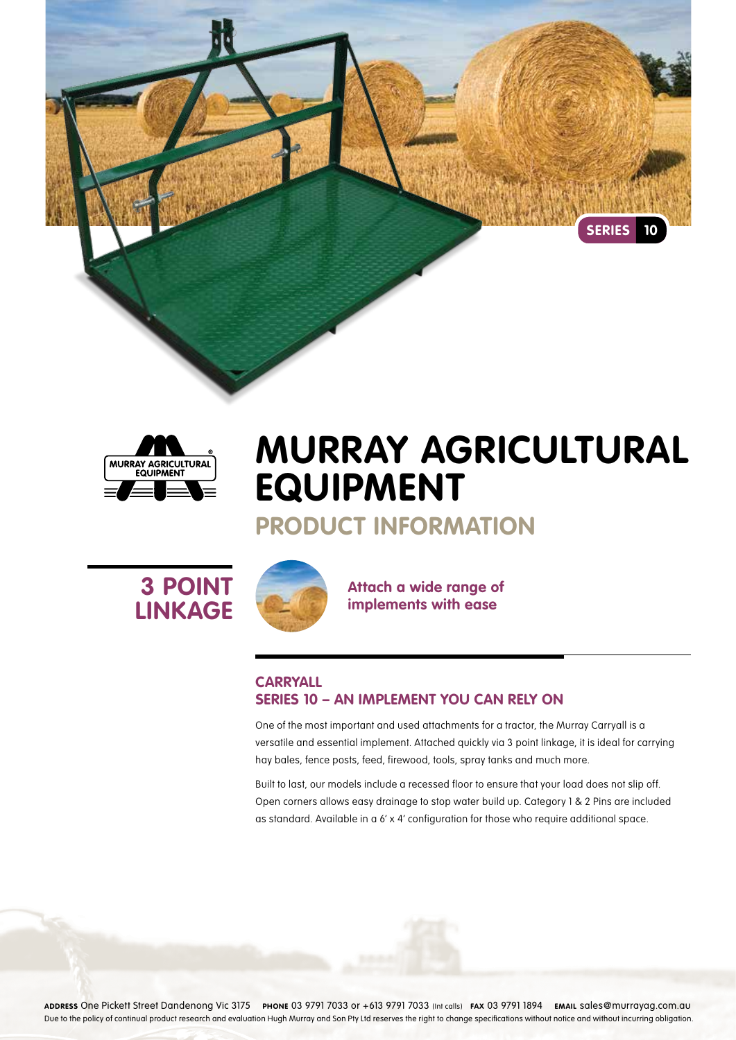



# **Murray Agricultural Equipment**

## **Product Information**





**Attach a wide range of implements with ease**

### **Carryall Series 10 – An implement you can rely on**

One of the most important and used attachments for a tractor, the Murray Carryall is a versatile and essential implement. Attached quickly via 3 point linkage, it is ideal for carrying hay bales, fence posts, feed, firewood, tools, spray tanks and much more.

Built to last, our models include a recessed floor to ensure that your load does not slip off. Open corners allows easy drainage to stop water build up. Category 1 & 2 Pins are included as standard. Available in a 6' x 4' configuration for those who require additional space.